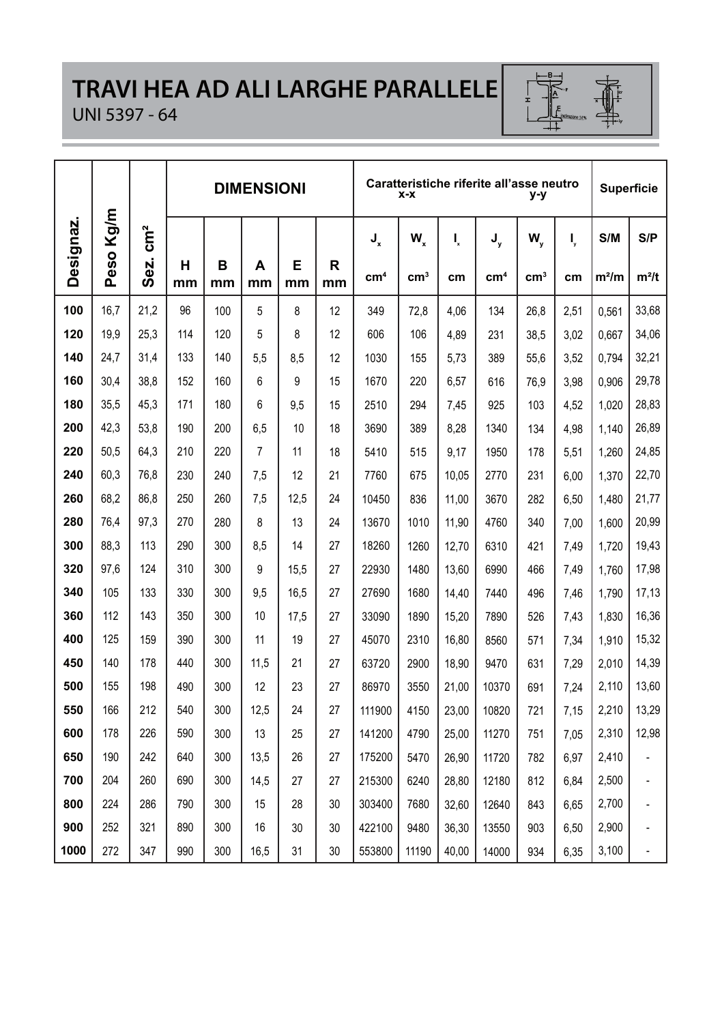## **TRAVI HEA AD ALI LARGHE PARALLELE**



#### UNI 5397 - 64

|           |      |                 |         |         | <b>DIMENSIONI</b> |         |         |                 | $X - X$         |       | Caratteristiche riferite all'asse neutro | y-y             |      |         | <b>Superficie</b> |
|-----------|------|-----------------|---------|---------|-------------------|---------|---------|-----------------|-----------------|-------|------------------------------------------|-----------------|------|---------|-------------------|
| Designaz. | Kg/m | $\mathsf{cm}^2$ |         |         |                   |         |         | $J_{x}$         | W,              | I,    | J <sub>y</sub>                           | W.              | I,   | S/M     | S/P               |
|           | Peso | Sez.            | н<br>mm | в<br>mm | A<br>mm           | Е<br>mm | R<br>mm | cm <sup>4</sup> | cm <sup>3</sup> | cm    | cm <sup>4</sup>                          | cm <sup>3</sup> | cm   | $m^2/m$ | $m^2/t$           |
| 100       | 16,7 | 21,2            | 96      | 100     | 5                 | 8       | 12      | 349             | 72.8            | 4.06  | 134                                      | 26,8            | 2,51 | 0.561   | 33,68             |
| 120       | 19,9 | 25,3            | 114     | 120     | 5                 | 8       | 12      | 606             | 106             | 4.89  | 231                                      | 38,5            | 3,02 | 0.667   | 34,06             |
| 140       | 24,7 | 31,4            | 133     | 140     | 5,5               | 8.5     | 12      | 1030            | 155             | 5,73  | 389                                      | 55,6            | 3,52 | 0.794   | 32,21             |
| 160       | 30.4 | 38.8            | 152     | 160     | 6                 | 9       | 15      | 1670            | 220             | 6,57  | 616                                      | 76,9            | 3,98 | 0.906   | 29,78             |
| 180       | 35,5 | 45,3            | 171     | 180     | 6                 | 9,5     | 15      | 2510            | 294             | 7,45  | 925                                      | 103             | 4,52 | 1,020   | 28,83             |
| 200       | 42.3 | 53.8            | 190     | 200     | 6,5               | 10      | 18      | 3690            | 389             | 8,28  | 1340                                     | 134             | 4,98 | 1,140   | 26,89             |
| 220       | 50.5 | 64.3            | 210     | 220     | $\overline{7}$    | 11      | 18      | 5410            | 515             | 9.17  | 1950                                     | 178             | 5,51 | 1,260   | 24,85             |
| 240       | 60.3 | 76.8            | 230     | 240     | 7.5               | 12      | 21      | 7760            | 675             | 10.05 | 2770                                     | 231             | 6.00 | 1.370   | 22,70             |
| 260       | 68.2 | 86.8            | 250     | 260     | 7,5               | 12.5    | 24      | 10450           | 836             | 11.00 | 3670                                     | 282             | 6.50 | 1.480   | 21,77             |
| 280       | 76,4 | 97,3            | 270     | 280     | 8                 | 13      | 24      | 13670           | 1010            | 11,90 | 4760                                     | 340             | 7.00 | 1.600   | 20,99             |
| 300       | 88.3 | 113             | 290     | 300     | 8,5               | 14      | 27      | 18260           | 1260            | 12,70 | 6310                                     | 421             | 7,49 | 1.720   | 19,43             |
| 320       | 97.6 | 124             | 310     | 300     | 9                 | 15,5    | 27      | 22930           | 1480            | 13,60 | 6990                                     | 466             | 7,49 | 1,760   | 17,98             |
| 340       | 105  | 133             | 330     | 300     | 9,5               | 16,5    | 27      | 27690           | 1680            | 14,40 | 7440                                     | 496             | 7,46 | 1.790   | 17,13             |
| 360       | 112  | 143             | 350     | 300     | 10                | 17,5    | 27      | 33090           | 1890            | 15,20 | 7890                                     | 526             | 7,43 | 1,830   | 16,36             |
| 400       | 125  | 159             | 390     | 300     | 11                | 19      | 27      | 45070           | 2310            | 16,80 | 8560                                     | 571             | 7,34 | 1.910   | 15,32             |
| 450       | 140  | 178             | 440     | 300     | 11,5              | 21      | 27      | 63720           | 2900            | 18,90 | 9470                                     | 631             | 7,29 | 2.010   | 14,39             |
| 500       | 155  | 198             | 490     | 300     | 12                | 23      | 27      | 86970           | 3550            | 21,00 | 10370                                    | 691             | 7,24 | 2,110   | 13,60             |
| 550       | 166  | 212             | 540     | 300     | 12,5              | 24      | 27      | 111900          | 4150            | 23,00 | 10820                                    | 721             | 7.15 | 2,210   | 13,29             |
| 600       | 178  | 226             | 590     | 300     | 13                | 25      | 27      | 141200          | 4790            | 25,00 | 11270                                    | 751             | 7.05 | 2,310   | 12,98             |
| 650       | 190  | 242             | 640     | 300     | 13.5              | 26      | 27      | 175200          | 5470            | 26,90 | 11720                                    | 782             | 6,97 | 2.410   |                   |
| 700       | 204  | 260             | 690     | 300     | 14,5              | 27      | 27      | 215300          | 6240            | 28,80 | 12180                                    | 812             | 6,84 | 2,500   |                   |
| 800       | 224  | 286             | 790     | 300     | 15                | 28      | 30      | 303400          | 7680            | 32,60 | 12640                                    | 843             | 6,65 | 2,700   | L,                |
| 900       | 252  | 321             | 890     | 300     | 16                | 30      | 30      | 422100          | 9480            | 36,30 | 13550                                    | 903             | 6.50 | 2,900   | ä,                |
| 1000      | 272  | 347             | 990     | 300     | 16,5              | 31      | 30      | 553800          | 11190           | 40,00 | 14000                                    | 934             | 6,35 | 3,100   |                   |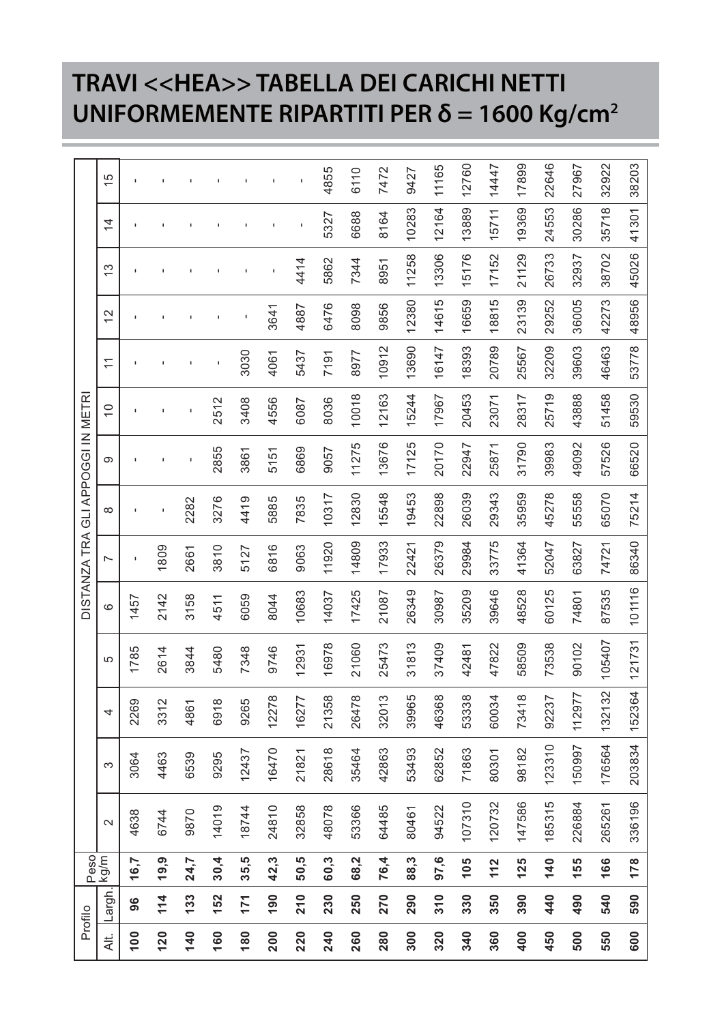## **TRAVI <<HEA>> TABELLA DEI CARICHI NETTI UNIFORMEMENTE RIPARTITI PER δ = 1600 Kg/cm2**

|                 | Profilo       | Peso <sup>1</sup> |        |        |        |        |        |                |          | DISTANZA TRA GLI APPOGGI IN METRI |               |       |             |               |               |               |
|-----------------|---------------|-------------------|--------|--------|--------|--------|--------|----------------|----------|-----------------------------------|---------------|-------|-------------|---------------|---------------|---------------|
| Alt.            | Largh.        | kg/m              | $\sim$ | S      | 4      | 5      | ဖ      | $\overline{ }$ | $\infty$ | တ                                 | $\frac{1}{2}$ | Ξ     | $\tilde{c}$ | $\frac{3}{2}$ | $\frac{4}{4}$ | $\frac{5}{1}$ |
| $\frac{8}{1}$   | 96            | 16,7              | 4638   | 3064   | 2269   | 1785   | 1457   |                |          |                                   |               |       |             |               |               |               |
| <b>120</b>      | 114           | 19,9              | 6744   | 4463   | 3312   | 2614   | 2142   | 1809           |          |                                   |               |       |             |               |               |               |
| $\frac{40}{5}$  | 133           | 24,7              | 9870   | 6539   | 4861   | 3844   | 3158   | 2661           | 2282     |                                   |               |       |             |               |               |               |
| <b>991</b>      | 152           | 30,4              | 14019  | 9295   | 6918   | 5480   | 4511   | 3810           | 3276     | 2855                              | 2512          |       |             |               |               |               |
| $\frac{80}{2}$  | 171           | 35,5              | 18744  | 12437  | 9265   | 7348   | 6059   | 5127           | 4419     | 3861                              | 3408          | 3030  |             |               |               |               |
| 200             | 190           | 42,3              | 24810  | 16470  | 12278  | 9746   | 8044   | 6816           | 5885     | 5151                              | 4556          | 4061  | 3641        |               |               |               |
| 220             | $\frac{1}{2}$ | 50,5              | 32858  | 21821  | 16277  | 12931  | 10683  | 9063           | 7835     | 6869                              | 6087          | 5437  | 4887        | 4414          |               |               |
| 240             | 230           | 60,3              | 48078  | 28618  | 21358  | 16978  | 14037  | 11920          | 10317    | 9057                              | 8036          | 7191  | 6476        | 5862          | 5327          | 4855          |
| 260             | 250           | 68,2              | 53366  | 35464  | 26478  | 21060  | 17425  | 14809          | 12830    | 11275                             | 10018         | 8977  | 8098        | 7344          | 6688          | 6110          |
| 280             | 270           | 76,4              | 64485  | 42863  | 32013  | 25473  | 21087  | 17933          | 15548    | 13676                             | 12163         | 10912 | 9856        | 8951          | 8164          | 7472          |
| $\frac{8}{3}$   | 290           | 88,3              | 80461  | 53493  | 39965  | 31813  | 26349  | 22421          | 19453    | 17125                             | 15244         | 13690 | 12380       | 11258         | 10283         | 9427          |
| 320             | $\frac{1}{3}$ | 97,6              | 94522  | 62852  | 46368  | 37409  | 30987  | 26379          | 22898    | 20170                             | 17967         | 16147 | 14615       | 13306         | 12164         | 11165         |
| $\frac{340}{5}$ | 330           | $\frac{20}{1}$    | 107310 | 71863  | 53338  | 42481  | 35209  | 29984          | 26039    | 22947                             | 20453         | 18393 | 16659       | 15176         | 13889         | 12760         |
| 360             | 350           | 112               | 120732 | 80301  | 60034  | 47822  | 39646  | 33775          | 29343    | 25871                             | 23071         | 20789 | 18815       | 17152         | 15711         | 14447         |
| 400             | 390           | 125               | 147586 | 98182  | 73418  | 58509  | 48528  | 41364          | 35959    | 31790                             | 28317         | 25567 | 23139       | 21129         | 19369         | 17899         |
| 450             | 40            | 140               | 185315 | 123310 | 92237  | 73538  | 60125  | 52047          | 45278    | 39983                             | 25719         | 32209 | 29252       | 26733         | 24553         | 22646         |
| 500             | 490           | 155               | 226884 | 50997  | 112977 | 90102  | 74801  | 63827          | 55558    | 49092                             | 43888         | 39603 | 36005       | 32937         | 30286         | 27967         |
| 550             | 540           | 166               | 265261 | 176564 | 132132 | 105407 | 87535  | 74721          | 65070    | 57526                             | 51458         | 46463 | 42273       | 38702         | 35718         | 32922         |
| 600             | 590           | 178               | 336196 | 203834 | 152364 | 121731 | 101116 | 86340          | 75214    | 66520                             | 59530         | 53778 | 48956       | 45026         | 41301         | 38203         |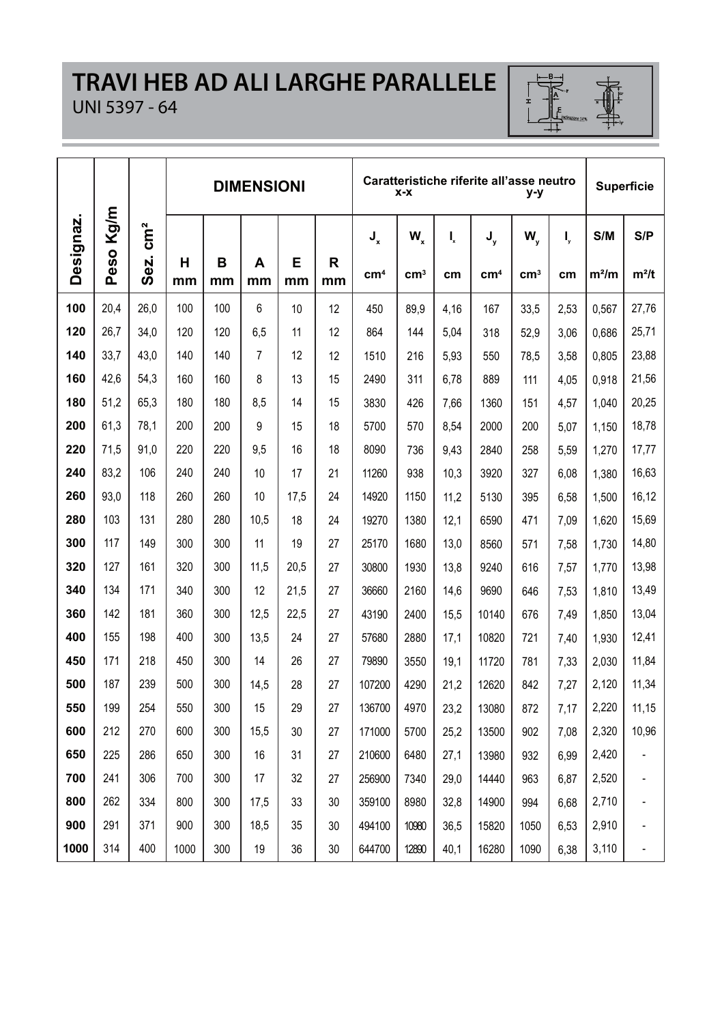#### **TRAVI HEB AD ALI LARGHE PARALLELE** UNI 5397 - 64



|           |           |                         |      |     | <b>DIMENSIONI</b> |      |    |                      | X-X                      |          | Caratteristiche riferite all'asse neutro | y-y                 |          |                | <b>Superficie</b> |
|-----------|-----------|-------------------------|------|-----|-------------------|------|----|----------------------|--------------------------|----------|------------------------------------------|---------------------|----------|----------------|-------------------|
| Designaz. | Peso Kg/m | $\mathsf{cm}^2$<br>Sez. | н    | в   | A                 | Е    | R  | J<br>cm <sup>4</sup> | $W_{x}$<br>$\text{cm}^3$ | I,<br>cm | J,<br>cm <sup>4</sup>                    | W,<br>$\text{cm}^3$ | I,<br>cm | S/M<br>$m^2/m$ | S/P<br>$m^2/t$    |
|           |           |                         | mm   | mm  | mm                | mm   | mm |                      |                          |          |                                          |                     |          |                |                   |
| 100       | 20.4      | 26.0                    | 100  | 100 | 6                 | 10   | 12 | 450                  | 89.9                     | 4,16     | 167                                      | 33,5                | 2,53     | 0.567          | 27,76             |
| 120       | 26,7      | 34,0                    | 120  | 120 | 6,5               | 11   | 12 | 864                  | 144                      | 5,04     | 318                                      | 52,9                | 3,06     | 0,686          | 25,71             |
| 140       | 33.7      | 43.0                    | 140  | 140 | $\overline{7}$    | 12   | 12 | 1510                 | 216                      | 5,93     | 550                                      | 78,5                | 3,58     | 0.805          | 23,88             |
| 160       | 42,6      | 54,3                    | 160  | 160 | 8                 | 13   | 15 | 2490                 | 311                      | 6.78     | 889                                      | 111                 | 4.05     | 0.918          | 21,56             |
| 180       | 51,2      | 65.3                    | 180  | 180 | 8,5               | 14   | 15 | 3830                 | 426                      | 7,66     | 1360                                     | 151                 | 4,57     | 1.040          | 20,25             |
| 200       | 61,3      | 78,1                    | 200  | 200 | 9                 | 15   | 18 | 5700                 | 570                      | 8,54     | 2000                                     | 200                 | 5.07     | 1.150          | 18,78             |
| 220       | 71,5      | 91.0                    | 220  | 220 | 9,5               | 16   | 18 | 8090                 | 736                      | 9,43     | 2840                                     | 258                 | 5,59     | 1,270          | 17,77             |
| 240       | 83.2      | 106                     | 240  | 240 | 10                | 17   | 21 | 11260                | 938                      | 10.3     | 3920                                     | 327                 | 6.08     | 1.380          | 16,63             |
| 260       | 93.0      | 118                     | 260  | 260 | 10                | 17,5 | 24 | 14920                | 1150                     | 11,2     | 5130                                     | 395                 | 6,58     | 1,500          | 16,12             |
| 280       | 103       | 131                     | 280  | 280 | 10.5              | 18   | 24 | 19270                | 1380                     | 12,1     | 6590                                     | 471                 | 7.09     | 1.620          | 15,69             |
| 300       | 117       | 149                     | 300  | 300 | 11                | 19   | 27 | 25170                | 1680                     | 13,0     | 8560                                     | 571                 | 7,58     | 1,730          | 14,80             |
| 320       | 127       | 161                     | 320  | 300 | 11.5              | 20.5 | 27 | 30800                | 1930                     | 13,8     | 9240                                     | 616                 | 7,57     | 1.770          | 13,98             |
| 340       | 134       | 171                     | 340  | 300 | 12                | 21,5 | 27 | 36660                | 2160                     | 14,6     | 9690                                     | 646                 | 7,53     | 1,810          | 13,49             |
| 360       | 142       | 181                     | 360  | 300 | 12.5              | 22,5 | 27 | 43190                | 2400                     | 15,5     | 10140                                    | 676                 | 7,49     | 1,850          | 13,04             |
| 400       | 155       | 198                     | 400  | 300 | 13,5              | 24   | 27 | 57680                | 2880                     | 17,1     | 10820                                    | 721                 | 7,40     | 1,930          | 12,41             |
| 450       | 171       | 218                     | 450  | 300 | 14                | 26   | 27 | 79890                | 3550                     | 19.1     | 11720                                    | 781                 | 7,33     | 2,030          | 11,84             |
| 500       | 187       | 239                     | 500  | 300 | 14,5              | 28   | 27 | 107200               | 4290                     | 21,2     | 12620                                    | 842                 | 7,27     | 2,120          | 11,34             |
| 550       | 199       | 254                     | 550  | 300 | 15                | 29   | 27 | 136700               | 4970                     | 23,2     | 13080                                    | 872                 | 7,17     | 2,220          | 11,15             |
| 600       | 212       | 270                     | 600  | 300 | 15,5              | 30   | 27 | 171000               | 5700                     | 25.2     | 13500                                    | 902                 | 7.08     | 2,320          | 10,96             |
| 650       | 225       | 286                     | 650  | 300 | 16                | 31   | 27 | 210600               | 6480                     | 27,1     | 13980                                    | 932                 | 6,99     | 2,420          |                   |
| 700       | 241       | 306                     | 700  | 300 | 17                | 32   | 27 | 256900               | 7340                     | 29.0     | 14440                                    | 963                 | 6.87     | 2,520          |                   |
| 800       | 262       | 334                     | 800  | 300 | 17,5              | 33   | 30 | 359100               | 8980                     | 32,8     | 14900                                    | 994                 | 6,68     | 2,710          |                   |
| 900       | 291       | 371                     | 900  | 300 | 18.5              | 35   | 30 | 494100               | 10980                    | 36.5     | 15820                                    | 1050                | 6.53     | 2.910          |                   |
| 1000      | 314       | 400                     | 1000 | 300 | 19                | 36   | 30 | 644700               | 12890                    | 40,1     | 16280                                    | 1090                | 6,38     | 3,110          |                   |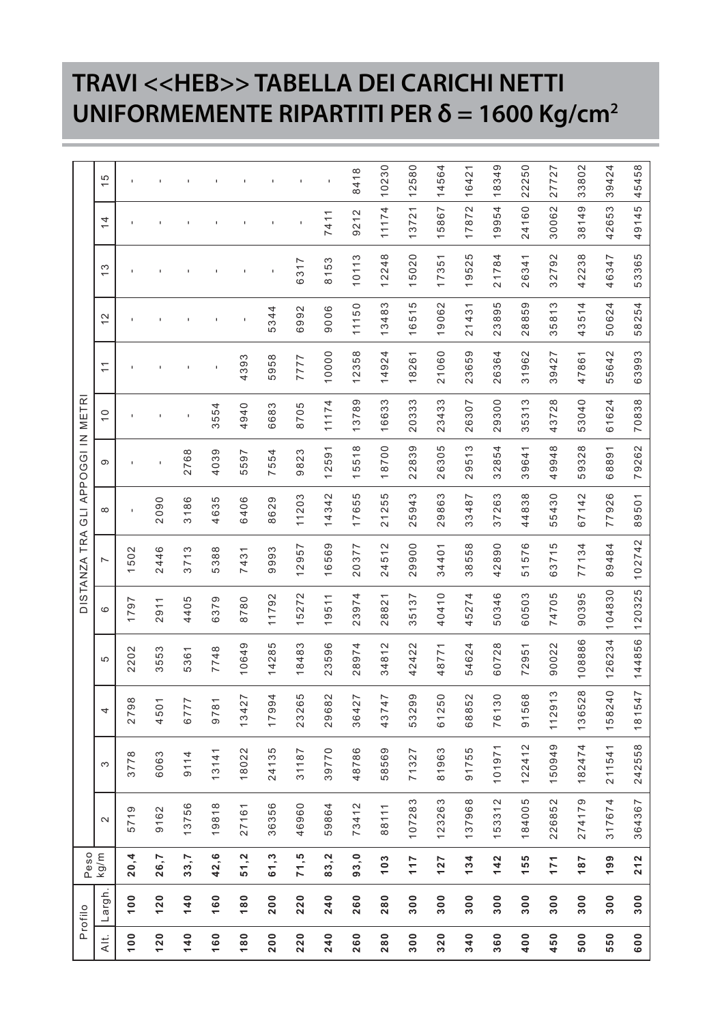## **TRAVI <<HEB>> TABELLA DEI CARICHI NETTI UNIFORMEMENTE RIPARTITI PER δ = 1600 Kg/cm2**

|               | Profilo        | Peso  |        |        |        |        |        | DISTANZA TRA   |       | GLI APPOGGI IN METRI |               |             |               |       |                |               |
|---------------|----------------|-------|--------|--------|--------|--------|--------|----------------|-------|----------------------|---------------|-------------|---------------|-------|----------------|---------------|
| Alt.          | Largh          | kg/m  | $\sim$ | S      | 4      | 40     | ဖ      | $\overline{ }$ | 8     | ၜ                    | $\frac{0}{1}$ | $\tilde{t}$ | $\frac{2}{3}$ | 13    | $\overline{4}$ | $\frac{5}{1}$ |
| 100           | $\frac{0}{2}$  | 20, 4 | 5719   | 3778   | 2798   | 2202   | 1797   | 1502           |       |                      |               |             |               |       |                |               |
| 120           | 120            | 26,7  | 9162   | 6063   | 4501   | 3553   | 2911   | 2446           | 2090  |                      |               |             |               |       |                |               |
| 140           | 140            | 33,7  | 13756  | 9114   | 6777   | 5361   | 4405   | 3713           | 3186  | 2768                 |               |             |               |       |                |               |
| 160           | 160            | 42,6  | 19818  | 13141  | 9781   | 7748   | 6379   | 5388           | 4635  | 4039                 | 3554          |             |               |       |                |               |
| 180           | 180            | 51,2  | 27161  | 18022  | 13427  | 10649  | 8780   | 7431           | 6406  | 5597                 | 4940          | 4393        |               |       |                |               |
| 200           | 200            | 61,3  | 36356  | 24135  | 17994  | 14285  | 11792  | 9993           | 8629  | 7554                 | 6683          | 5958        | 5344          |       |                |               |
| 220           | 220            | 71,5  | 46960  | 31187  | 23265  | 8483   | 5272   | 12957          | 11203 | 9823                 | 8705          | 7777        | 6992          | 6317  |                |               |
| 240           | 240            | 83,2  | 59864  | 39770  | 29682  | 23596  | 19511  | 16569          | 14342 | 12591                | 11174         | 10000       | 9006          | 8153  | 7411           |               |
| 260           | 260            | 93,0  | 73412  | 48786  | 36427  | 28974  | 23974  | 20377          | 17655 | 15518                | 13789         | 12358       | 11150         | 10113 | 9212           | 8418          |
| 280           | 280            | 103   | 88111  | 58569  | 43747  | 34812  | 28821  | 24512          | 21255 | 18700                | 16633         | 14924       | 13483         | 12248 | 11174          | 10230         |
| 300           | 300            | 117   | 107283 | 71327  | 53299  | 42422  | 35137  | 29900          | 25943 | 22839                | 20333         | 18261       | 16515         | 15020 | 13721          | 12580         |
| 320           | $\frac{8}{30}$ | 127   | 123263 | 81963  | 61250  | 48771  | 40410  | 34401          | 29863 | 26305                | 23433         | 21060       | 19062         | 17351 | 15867          | 14564         |
| 340           | $\frac{8}{3}$  | 134   | 137968 | 91755  | 68852  | 54624  | 45274  | 38558          | 33487 | 29513                | 26307         | 23659       | 21431         | 19525 | 17872          | 16421         |
| 360           | 300            | 142   | 153312 | 101971 | 76130  | 60728  | 50346  | 42890          | 37263 | 32854                | 29300         | 26364       | 23895         | 21784 | 19954          | 18349         |
| $\frac{1}{2}$ | $\frac{0}{2}$  | 55    | 184005 | 122412 | 91568  | 72951  | 60503  | 51576          | 44838 | 39641                | 35313         | 31962       | 28859         | 26341 | 24160          | 22250         |
| 450           | $\frac{0}{2}$  | 171   | 226852 | 50949  | 112913 | 90022  | 74705  | 63715          | 55430 | 49948                | 43728         | 39427       | 35813         | 32792 | 30062          | 27727         |
| 500           | 300            | 187   | 274179 | 182474 | 136528 | 108886 | 90395  | 77134          | 67142 | 59328                | 53040         | 47861       | 43514         | 42238 | 38149          | 33802         |
| 550           | $\frac{0}{2}$  | 199   | 317674 | 211541 | 158240 | 126234 | 104830 | 89484          | 77926 | 68891                | 61624         | 55642       | 50624         | 46347 | 42653          | 39424         |
| 600           | 300            | 212   | 364367 | 242558 | 181547 | 144856 | 120325 | 102742         | 89501 | 79262                | 70838         | 63993       | 58254         | 53365 | 49145          | 45458         |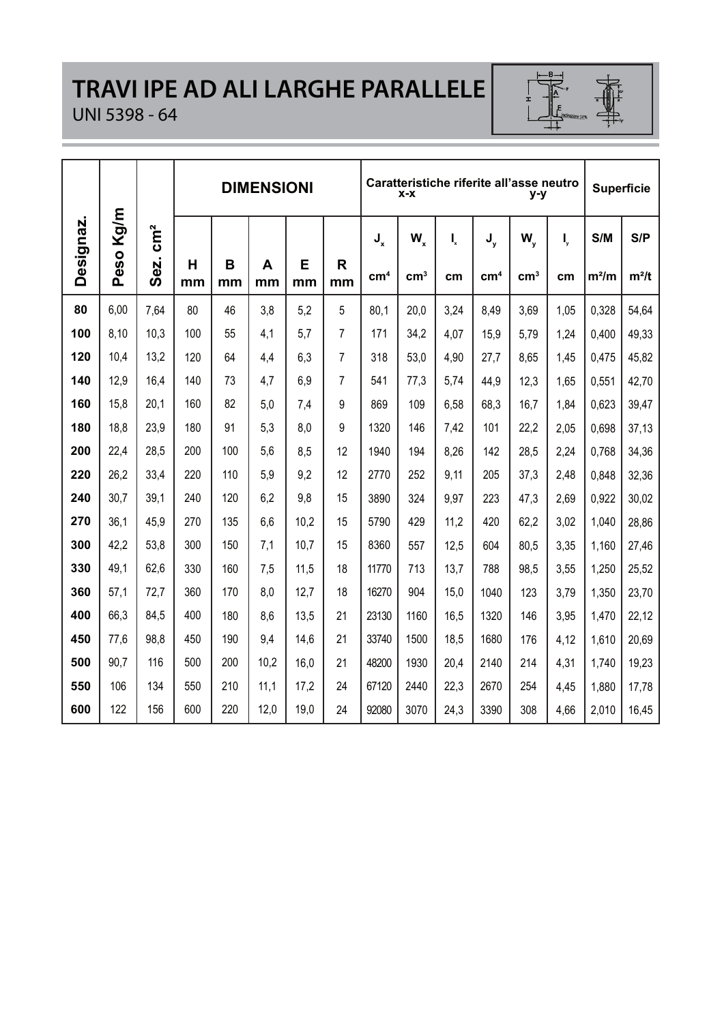# **TRAVI IPE AD ALI LARGHE PARALLELE**

# $-\frac{B}{1}$

#### UNI 5398 - 64

|           |               |                 |         |         | <b>DIMENSIONI</b> |         |         |                 | $x - x$         |      | Caratteristiche riferite all'asse neutro | y-y           |      | <b>Superficie</b> |         |
|-----------|---------------|-----------------|---------|---------|-------------------|---------|---------|-----------------|-----------------|------|------------------------------------------|---------------|------|-------------------|---------|
| Designaz. | m/g<br>⊻      | $\mathsf{cm}^2$ |         |         |                   |         |         | $J_{x}$         | W.              | Ļ    | J,                                       | w,            | I,   | S/M               | S/P     |
|           | <u>ဝ</u><br>ق | Sez.            | н<br>mm | B<br>mm | A<br>mm           | Е<br>mm | R<br>mm | cm <sup>4</sup> | cm <sup>3</sup> | cm   | cm <sup>4</sup>                          | $\text{cm}^3$ | cm   | $m^2/m$           | $m^2/t$ |
| 80        | 6.00          | 7.64            | 80      | 46      | 3.8               | 5.2     | 5       | 80.1            | 20.0            | 3.24 | 8.49                                     | 3.69          | 1,05 | 0.328             | 54,64   |
| 100       | 8.10          | 10.3            | 100     | 55      | 4,1               | 5,7     | 7       | 171             | 34,2            | 4.07 | 15.9                                     | 5,79          | 1,24 | 0.400             | 49,33   |
| 120       | 10.4          | 13.2            | 120     | 64      | 4.4               | 6,3     | 7       | 318             | 53,0            | 4.90 | 27,7                                     | 8.65          | 1.45 | 0.475             | 45,82   |
| 140       | 12.9          | 16.4            | 140     | 73      | 4,7               | 6,9     | 7       | 541             | 77,3            | 5,74 | 44.9                                     | 12,3          | 1.65 | 0,551             | 42,70   |
| 160       | 15.8          | 20.1            | 160     | 82      | 5.0               | 7.4     | 9       | 869             | 109             | 6.58 | 68.3                                     | 16.7          | 1.84 | 0.623             | 39,47   |
| 180       | 18.8          | 23.9            | 180     | 91      | 5.3               | 8,0     | 9       | 1320            | 146             | 7,42 | 101                                      | 22,2          | 2.05 | 0,698             | 37,13   |
| 200       | 22,4          | 28.5            | 200     | 100     | 5.6               | 8,5     | 12      | 1940            | 194             | 8.26 | 142                                      | 28,5          | 2.24 | 0.768             | 34,36   |
| 220       | 26.2          | 33.4            | 220     | 110     | 5.9               | 9,2     | 12      | 2770            | 252             | 9.11 | 205                                      | 37,3          | 2.48 | 0.848             | 32,36   |
| 240       | 30.7          | 39.1            | 240     | 120     | 6.2               | 9,8     | 15      | 3890            | 324             | 9.97 | 223                                      | 47.3          | 2.69 | 0.922             | 30.02   |
| 270       | 36.1          | 45.9            | 270     | 135     | 6.6               | 10.2    | 15      | 5790            | 429             | 11.2 | 420                                      | 62.2          | 3.02 | 1.040             | 28,86   |
| 300       | 42.2          | 53.8            | 300     | 150     | 7.1               | 10.7    | 15      | 8360            | 557             | 12.5 | 604                                      | 80.5          | 3.35 | 1.160             | 27,46   |
| 330       | 49,1          | 62,6            | 330     | 160     | 7,5               | 11,5    | 18      | 11770           | 713             | 13.7 | 788                                      | 98.5          | 3.55 | 1.250             | 25,52   |
| 360       | 57,1          | 72.7            | 360     | 170     | 8.0               | 12.7    | 18      | 16270           | 904             | 15.0 | 1040                                     | 123           | 3,79 | 1,350             | 23,70   |
| 400       | 66,3          | 84,5            | 400     | 180     | 8,6               | 13.5    | 21      | 23130           | 1160            | 16.5 | 1320                                     | 146           | 3.95 | 1.470             | 22,12   |
| 450       | 77.6          | 98.8            | 450     | 190     | 9.4               | 14,6    | 21      | 33740           | 1500            | 18.5 | 1680                                     | 176           | 4,12 | 1.610             | 20,69   |
| 500       | 90.7          | 116             | 500     | 200     | 10,2              | 16,0    | 21      | 48200           | 1930            | 20.4 | 2140                                     | 214           | 4.31 | 1.740             | 19,23   |
| 550       | 106           | 134             | 550     | 210     | 11.1              | 17.2    | 24      | 67120           | 2440            | 22.3 | 2670                                     | 254           | 4.45 | 1.880             | 17,78   |
| 600       | 122           | 156             | 600     | 220     | 12.0              | 19,0    | 24      | 92080           | 3070            | 24.3 | 3390                                     | 308           | 4.66 | 2.010             | 16.45   |